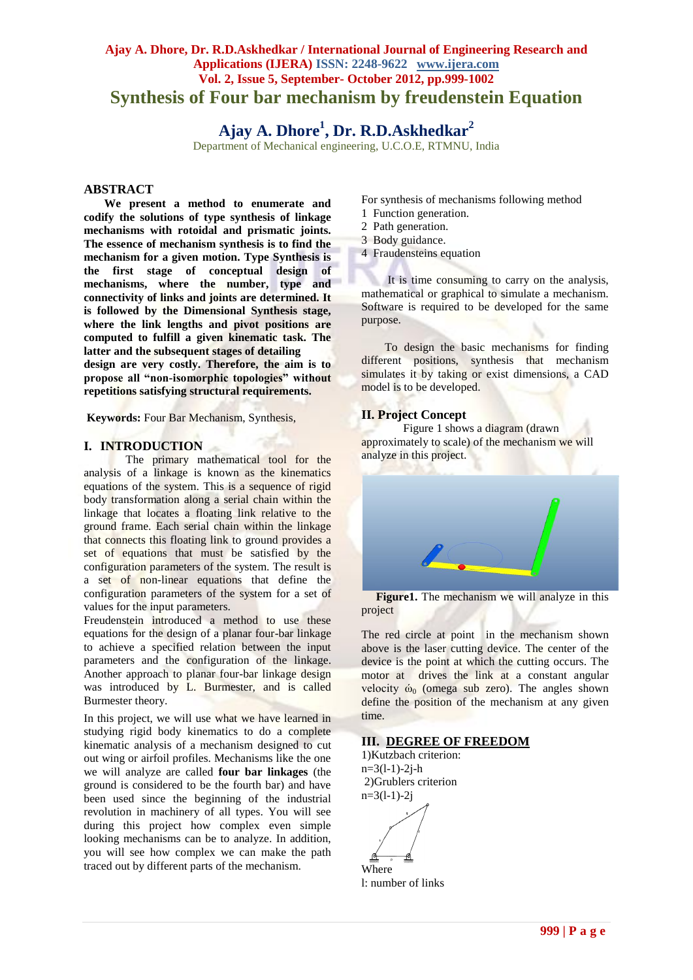# **Ajay A. Dhore, Dr. R.D.Askhedkar / International Journal of Engineering Research and Applications (IJERA) ISSN: 2248-9622 www.ijera.com Vol. 2, Issue 5, September- October 2012, pp.999-1002 Synthesis of Four bar mechanism by freudenstein Equation**

**Ajay A. Dhore<sup>1</sup> , Dr. R.D.Askhedkar<sup>2</sup>**

Department of Mechanical engineering, U.C.O.E, RTMNU, India

#### **ABSTRACT**

 **We present a method to enumerate and codify the solutions of type synthesis of linkage mechanisms with rotoidal and prismatic joints. The essence of mechanism synthesis is to find the mechanism for a given motion. Type Synthesis is the first stage of conceptual design of mechanisms, where the number, type and connectivity of links and joints are determined. It is followed by the Dimensional Synthesis stage, where the link lengths and pivot positions are computed to fulfill a given kinematic task. The latter and the subsequent stages of detailing design are very costly. Therefore, the aim is to propose all "non-isomorphic topologies" without repetitions satisfying structural requirements.**

**Keywords:** Four Bar Mechanism, Synthesis,

#### **I. INTRODUCTION**

 The primary mathematical tool for the analysis of a linkage is known as the kinematics equations of the system. This is a sequence of rigid body transformation along a serial chain within the linkage that locates a floating link relative to the ground frame. Each serial chain within the linkage that connects this floating link to ground provides a set of equations that must be satisfied by the configuration parameters of the system. The result is a set of non-linear equations that define the configuration parameters of the system for a set of values for the input parameters.

Freudenstein introduced a method to use these equations for the design of a planar four-bar linkage to achieve a specified relation between the input parameters and the configuration of the linkage. Another approach to planar four-bar linkage design was introduced by L. Burmester, and is called Burmester theory.

In this project, we will use what we have learned in studying rigid body kinematics to do a complete kinematic analysis of a mechanism designed to cut out wing or airfoil profiles. Mechanisms like the one we will analyze are called **four bar linkages** (the ground is considered to be the fourth bar) and have been used since the beginning of the industrial revolution in machinery of all types. You will see during this project how complex even simple looking mechanisms can be to analyze. In addition, you will see how complex we can make the path traced out by different parts of the mechanism.

For synthesis of mechanisms following method

- 1 Function generation.
- 2 Path generation.
- 3 Body guidance.
- 4 Fraudensteins equation

 It is time consuming to carry on the analysis, mathematical or graphical to simulate a mechanism. Software is required to be developed for the same purpose.

 To design the basic mechanisms for finding different positions, synthesis that mechanism simulates it by taking or exist dimensions, a CAD model is to be developed.

## **II. Project Concept**

Figure 1 shows a diagram (drawn approximately to scale) of the mechanism we will analyze in this project.



 **Figure1.** The mechanism we will analyze in this project

The red circle at point in the mechanism shown above is the laser cutting device. The center of the device is the point at which the cutting occurs. The motor at drives the link at a constant angular velocity  $\dot{\omega}_0$  (omega sub zero). The angles shown define the position of the mechanism at any given time.

#### **III. DEGREE OF FREEDOM**

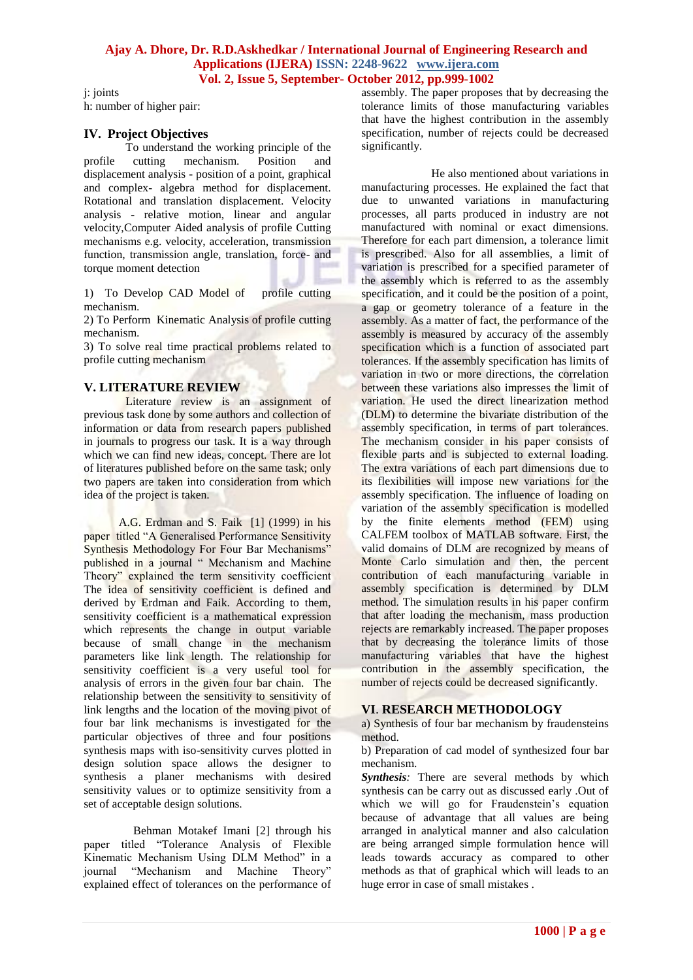### **Ajay A. Dhore, Dr. R.D.Askhedkar / International Journal of Engineering Research and Applications (IJERA) ISSN: 2248-9622 www.ijera.com Vol. 2, Issue 5, September- October 2012, pp.999-1002**

j: joints h: number of higher pair:

## **IV. Project Objectives**

To understand the working principle of the<br>cutting mechanism. Position and profile cutting mechanism. Position and displacement analysis - position of a point, graphical and complex- algebra method for displacement. Rotational and translation displacement. Velocity analysis - relative motion, linear and angular velocity,Computer Aided analysis of profile Cutting mechanisms e.g. velocity, acceleration, transmission function, transmission angle, translation, force- and torque moment detection

1) To Develop CAD Model of profile cutting mechanism.

2) To Perform Kinematic Analysis of profile cutting mechanism.

3) To solve real time practical problems related to profile cutting mechanism

## **V. LITERATURE REVIEW**

Literature review is an assignment of previous task done by some authors and collection of information or data from research papers published in journals to progress our task. It is a way through which we can find new ideas, concept. There are lot of literatures published before on the same task; only two papers are taken into consideration from which idea of the project is taken.

 A.G. Erdman and S. Faik [1] (1999) in his paper titled "A Generalised Performance Sensitivity Synthesis Methodology For Four Bar Mechanisms" published in a journal " Mechanism and Machine Theory" explained the term sensitivity coefficient The idea of sensitivity coefficient is defined and derived by Erdman and Faik. According to them, sensitivity coefficient is a mathematical expression which represents the change in output variable because of small change in the mechanism parameters like link length. The relationship for sensitivity coefficient is a very useful tool for analysis of errors in the given four bar chain. The relationship between the sensitivity to sensitivity of link lengths and the location of the moving pivot of four bar link mechanisms is investigated for the particular objectives of three and four positions synthesis maps with iso-sensitivity curves plotted in design solution space allows the designer to synthesis a planer mechanisms with desired sensitivity values or to optimize sensitivity from a set of acceptable design solutions.

 Behman Motakef Imani [2] through his paper titled "Tolerance Analysis of Flexible Kinematic Mechanism Using DLM Method" in a journal "Mechanism and Machine Theory" explained effect of tolerances on the performance of assembly. The paper proposes that by decreasing the tolerance limits of those manufacturing variables that have the highest contribution in the assembly specification, number of rejects could be decreased significantly.

 He also mentioned about variations in manufacturing processes. He explained the fact that due to unwanted variations in manufacturing processes, all parts produced in industry are not manufactured with nominal or exact dimensions. Therefore for each part dimension, a tolerance limit is prescribed. Also for all assemblies, a limit of variation is prescribed for a specified parameter of the assembly which is referred to as the assembly specification, and it could be the position of a point, a gap or geometry tolerance of a feature in the assembly. As a matter of fact, the performance of the assembly is measured by accuracy of the assembly specification which is a function of associated part tolerances. If the assembly specification has limits of variation in two or more directions, the correlation between these variations also impresses the limit of variation. He used the direct linearization method (DLM) to determine the bivariate distribution of the assembly specification, in terms of part tolerances. The mechanism consider in his paper consists of flexible parts and is subjected to external loading. The extra variations of each part dimensions due to its flexibilities will impose new variations for the assembly specification. The influence of loading on variation of the assembly specification is modelled by the finite elements method (FEM) using CALFEM toolbox of MATLAB software. First, the valid domains of DLM are recognized by means of Monte Carlo simulation and then, the percent contribution of each manufacturing variable in assembly specification is determined by DLM method. The simulation results in his paper confirm that after loading the mechanism, mass production rejects are remarkably increased. The paper proposes that by decreasing the tolerance limits of those manufacturing variables that have the highest contribution in the assembly specification, the number of rejects could be decreased significantly.

# **VI**. **RESEARCH METHODOLOGY**

a) Synthesis of four bar mechanism by fraudensteins method.

b) Preparation of cad model of synthesized four bar mechanism.

**Synthesis**: There are several methods by which synthesis can be carry out as discussed early .Out of which we will go for Fraudenstein's equation because of advantage that all values are being arranged in analytical manner and also calculation are being arranged simple formulation hence will leads towards accuracy as compared to other methods as that of graphical which will leads to an huge error in case of small mistakes .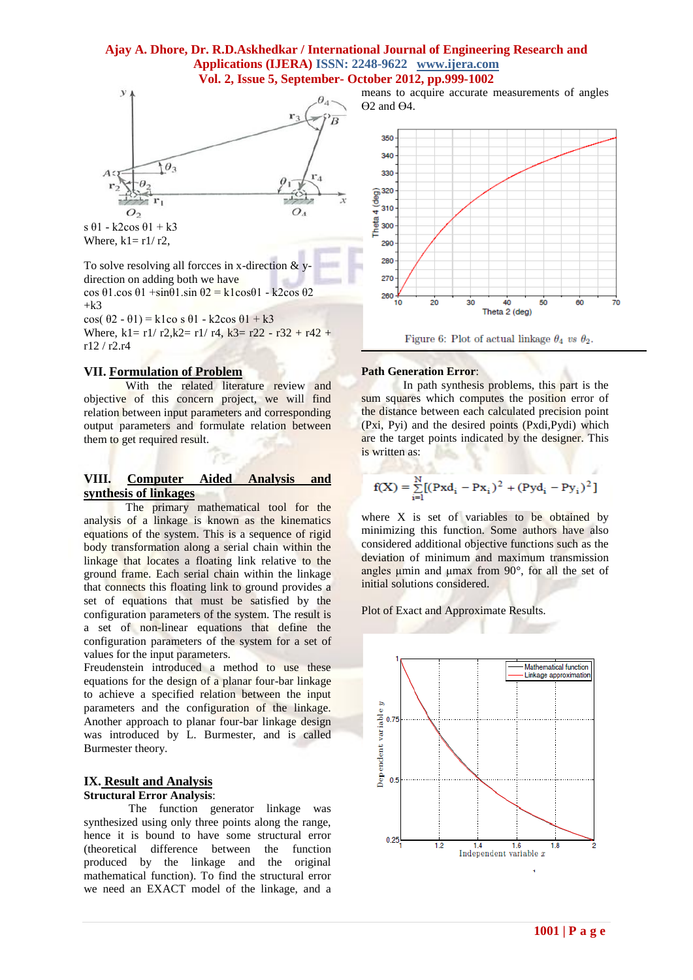#### **Ajay A. Dhore, Dr. R.D.Askhedkar / International Journal of Engineering Research and Applications (IJERA) ISSN: 2248-9622 www.ijera.com Vol. 2, Issue 5, September- October 2012, pp.999-1002**



Where,  $k1 = r1/r2$ ,

To solve resolving all forcces in x-direction  $&$  ydirection on adding both we have

cos θ1.cos θ1 +sinθ1.sin θ2 = k1cosθ1 - k2cos θ2  $+k<sup>3</sup>$ 

cos(  $\theta$ 2 -  $\theta$ 1) = k1co s  $\theta$ 1 - k2cos  $\theta$ 1 + k3 Where,  $k1 = r1/r2$ ,  $k2 = r1/r4$ ,  $k3 = r22 - r32 + r42 + r$ r12 / r2.r4

#### **VII. Formulation of Problem**

With the related literature review and objective of this concern project, we will find relation between input parameters and corresponding output parameters and formulate relation between them to get required result.

# **VIII. Computer Aided Analysis and synthesis of linkages**

The primary mathematical tool for the analysis of a linkage is known as the kinematics equations of the system. This is a sequence of rigid body transformation along a serial chain within the linkage that locates a floating link relative to the ground frame. Each serial chain within the linkage that connects this floating link to ground provides a set of equations that must be satisfied by the configuration parameters of the system. The result is a set of non-linear equations that define the configuration parameters of the system for a set of values for the input parameters.

Freudenstein introduced a method to use these equations for the design of a planar four-bar linkage to achieve a specified relation between the input parameters and the configuration of the linkage. Another approach to planar four-bar linkage design was introduced by L. Burmester, and is called Burmester theory.

# **IX. Result and Analysis**

## **Structural Error Analysis**:

 The function generator linkage was synthesized using only three points along the range, hence it is bound to have some structural error (theoretical difference between the function produced by the linkage and the original mathematical function). To find the structural error we need an EXACT model of the linkage, and a

means to acquire accurate measurements of angles Ө2 and Ө4.



Figure 6: Plot of actual linkage  $\theta_4$  vs  $\theta_2$ .

#### **Path Generation Error**:

In path synthesis problems, this part is the sum squares which computes the position error of the distance between each calculated precision point (Pxi, Pyi) and the desired points (Pxdi,Pydi) which are the target points indicated by the designer. This is written as:

$$
f(X) = \sum_{i=1}^{N} [(Pxd_i - Px_i)^2 + (Pyd_i - Py_i)^2]
$$

where X is set of variables to be obtained by minimizing this function. Some authors have also considered additional objective functions such as the deviation of minimum and maximum transmission angles  $\mu$ min and  $\mu$ max from 90 $^{\circ}$ , for all the set of initial solutions considered.

Plot of Exact and Approximate Results.